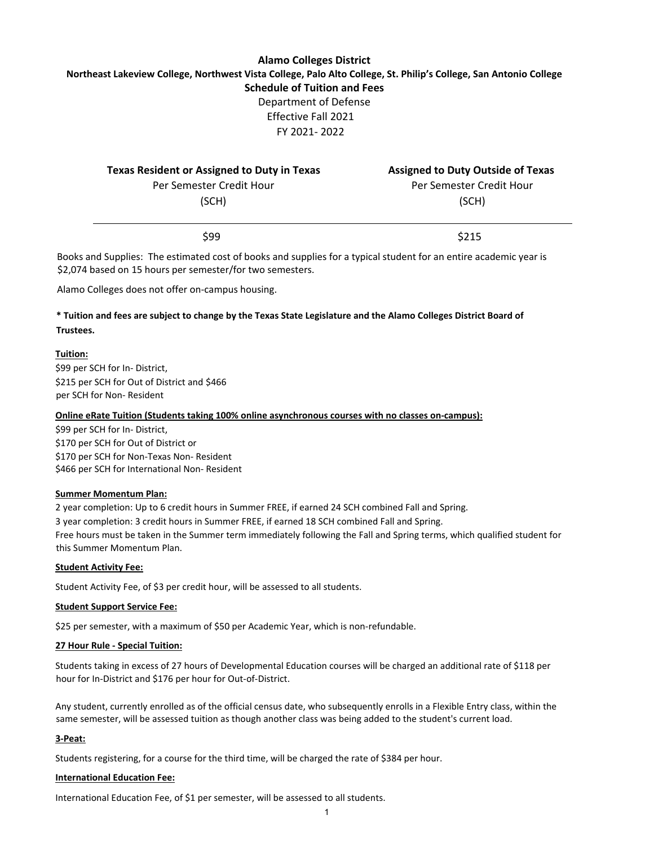## **Alamo Colleges District Northeast Lakeview College, Northwest Vista College, Palo Alto College, St. Philip's College, San Antonio College Schedule of Tuition and Fees** Department of Defense Effective Fall 2021 FY 2021- 2022

| <b>Texas Resident or Assigned to Duty in Texas</b> | <b>Assigned to Duty Outside of Texas</b> |
|----------------------------------------------------|------------------------------------------|
| Per Semester Credit Hour                           | Per Semester Credit Hour                 |
| (SCH)                                              | (SCH)                                    |
| \$99                                               | \$215                                    |

Books and Supplies: The estimated cost of books and supplies for a typical student for an entire academic year is \$2,074 based on 15 hours per semester/for two semesters.

Alamo Colleges does not offer on-campus housing.

## **\* Tuition and fees are subject to change by the Texas State Legislature and the Alamo Colleges District Board of Trustees.**

#### **Tuition:**

\$99 per SCH for In- District, \$215 per SCH for Out of District and \$466 per SCH for Non- Resident

#### **Online eRate Tuition (Students taking 100% online asynchronous courses with no classes on-campus):**

\$99 per SCH for In- District, \$170 per SCH for Out of District or \$170 per SCH for Non-Texas Non- Resident \$466 per SCH for International Non- Resident

#### **Summer Momentum Plan:**

2 year completion: Up to 6 credit hours in Summer FREE, if earned 24 SCH combined Fall and Spring. 3 year completion: 3 credit hours in Summer FREE, if earned 18 SCH combined Fall and Spring. Free hours must be taken in the Summer term immediately following the Fall and Spring terms, which qualified student for this Summer Momentum Plan.

#### **Student Activity Fee:**

Student Activity Fee, of \$3 per credit hour, will be assessed to all students.

#### **Student Support Service Fee:**

\$25 per semester, with a maximum of \$50 per Academic Year, which is non-refundable.

#### **27 Hour Rule - Special Tuition:**

Students taking in excess of 27 hours of Developmental Education courses will be charged an additional rate of \$118 per hour for In-District and \$176 per hour for Out-of-District.

Any student, currently enrolled as of the official census date, who subsequently enrolls in a Flexible Entry class, within the same semester, will be assessed tuition as though another class was being added to the student's current load.

#### **3-Peat:**

Students registering, for a course for the third time, will be charged the rate of \$384 per hour.

#### **International Education Fee:**

International Education Fee, of \$1 per semester, will be assessed to all students.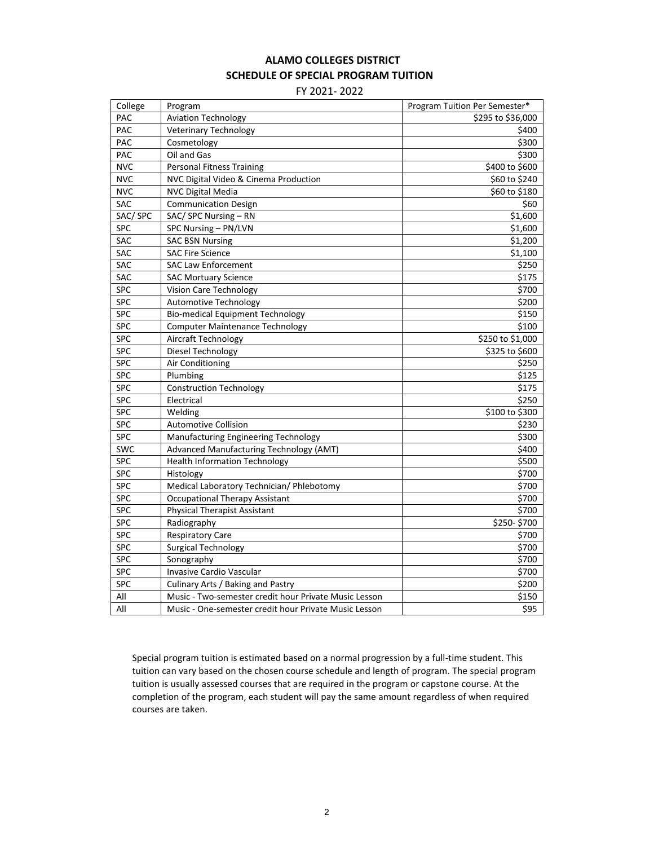# **ALAMO COLLEGES DISTRICT SCHEDULE OF SPECIAL PROGRAM TUITION**

FY 2021- 2022

| College    | Program                                               | Program Tuition Per Semester* |
|------------|-------------------------------------------------------|-------------------------------|
| PAC        | <b>Aviation Technology</b>                            | \$295 to \$36,000             |
| PAC        | <b>Veterinary Technology</b>                          | \$400                         |
| PAC        | Cosmetology                                           | \$300                         |
| PAC        | Oil and Gas                                           | \$300                         |
| <b>NVC</b> | <b>Personal Fitness Training</b>                      | \$400 to \$600                |
| <b>NVC</b> | NVC Digital Video & Cinema Production                 | \$60 to \$240                 |
| <b>NVC</b> | <b>NVC Digital Media</b>                              | \$60 to \$180                 |
| SAC        | <b>Communication Design</b>                           | \$60                          |
| SAC/SPC    | SAC/ SPC Nursing - RN                                 | \$1,600                       |
| <b>SPC</b> | SPC Nursing - PN/LVN                                  | \$1,600                       |
| <b>SAC</b> | <b>SAC BSN Nursing</b>                                | \$1,200                       |
| SAC        | <b>SAC Fire Science</b>                               | \$1,100                       |
| <b>SAC</b> | <b>SAC Law Enforcement</b>                            | \$250                         |
| <b>SAC</b> | <b>SAC Mortuary Science</b>                           | \$175                         |
| <b>SPC</b> | Vision Care Technology                                | \$700                         |
| <b>SPC</b> | <b>Automotive Technology</b>                          | \$200                         |
| <b>SPC</b> | <b>Bio-medical Equipment Technology</b>               | \$150                         |
| <b>SPC</b> | <b>Computer Maintenance Technology</b>                | \$100                         |
| <b>SPC</b> | Aircraft Technology                                   | \$250 to \$1,000              |
| <b>SPC</b> | Diesel Technology                                     | \$325 to \$600                |
| <b>SPC</b> | Air Conditioning                                      | \$250                         |
| <b>SPC</b> | Plumbing                                              | \$125                         |
| SPC        | <b>Construction Technology</b>                        | \$175                         |
| <b>SPC</b> | Electrical                                            | \$250                         |
| <b>SPC</b> | Welding                                               | \$100 to \$300                |
| <b>SPC</b> | <b>Automotive Collision</b>                           | \$230                         |
| <b>SPC</b> | Manufacturing Engineering Technology                  | \$300                         |
| <b>SWC</b> | Advanced Manufacturing Technology (AMT)               | \$400                         |
| <b>SPC</b> | <b>Health Information Technology</b>                  | \$500                         |
| <b>SPC</b> | Histology                                             | \$700                         |
| <b>SPC</b> | Medical Laboratory Technician/ Phlebotomy             | \$700                         |
| <b>SPC</b> | <b>Occupational Therapy Assistant</b>                 | \$700                         |
| <b>SPC</b> | <b>Physical Therapist Assistant</b>                   | \$700                         |
| <b>SPC</b> | Radiography                                           | \$250-\$700                   |
| <b>SPC</b> | <b>Respiratory Care</b>                               | \$700                         |
| <b>SPC</b> | <b>Surgical Technology</b>                            | \$700                         |
| <b>SPC</b> | Sonography                                            | \$700                         |
| <b>SPC</b> | Invasive Cardio Vascular                              | \$700                         |
| <b>SPC</b> | Culinary Arts / Baking and Pastry                     | \$200                         |
| All        | Music - Two-semester credit hour Private Music Lesson | \$150                         |
| All        | Music - One-semester credit hour Private Music Lesson | \$95                          |

Special program tuition is estimated based on a normal progression by a full-time student. This tuition can vary based on the chosen course schedule and length of program. The special program tuition is usually assessed courses that are required in the program or capstone course. At the completion of the program, each student will pay the same amount regardless of when required courses are taken.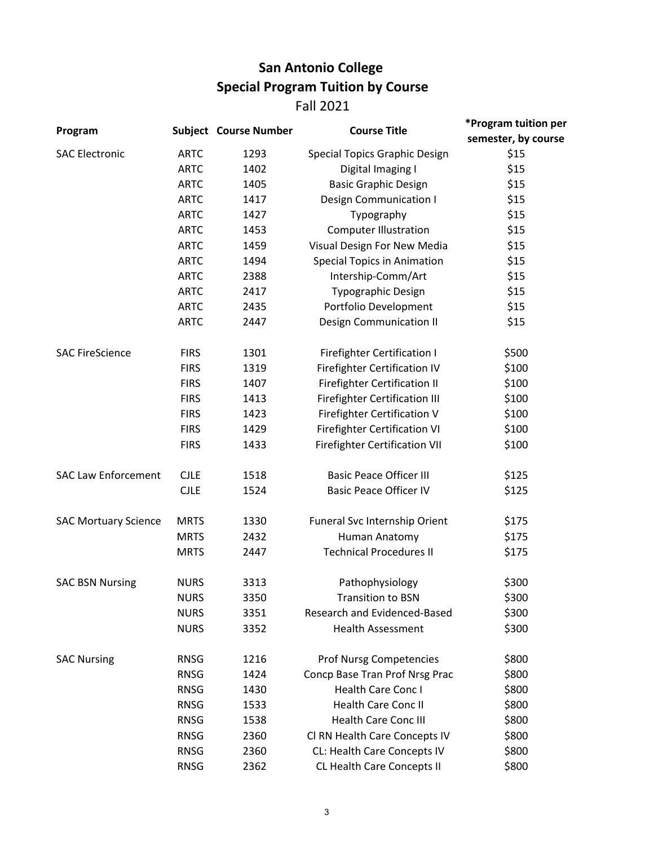# **San Antonio College Special Program Tuition by Course** Fall 2021

| Program                     | <b>Subject Course Number</b> |      | <b>Course Title</b>                  | *Program tuition per |  |
|-----------------------------|------------------------------|------|--------------------------------------|----------------------|--|
|                             |                              |      |                                      | semester, by course  |  |
| <b>SAC Electronic</b>       | <b>ARTC</b>                  | 1293 | <b>Special Topics Graphic Design</b> | \$15                 |  |
|                             | <b>ARTC</b>                  | 1402 | Digital Imaging I                    | \$15                 |  |
|                             | <b>ARTC</b>                  | 1405 | <b>Basic Graphic Design</b>          | \$15                 |  |
|                             | <b>ARTC</b>                  | 1417 | <b>Design Communication I</b>        | \$15                 |  |
|                             | <b>ARTC</b>                  | 1427 | Typography                           | \$15                 |  |
|                             | <b>ARTC</b>                  | 1453 | <b>Computer Illustration</b>         | \$15                 |  |
|                             | <b>ARTC</b>                  | 1459 | Visual Design For New Media          | \$15                 |  |
|                             | <b>ARTC</b>                  | 1494 | <b>Special Topics in Animation</b>   | \$15                 |  |
|                             | <b>ARTC</b>                  | 2388 | Intership-Comm/Art                   | \$15                 |  |
|                             | <b>ARTC</b>                  | 2417 | Typographic Design                   | \$15                 |  |
|                             | <b>ARTC</b>                  | 2435 | Portfolio Development                | \$15                 |  |
|                             | <b>ARTC</b>                  | 2447 | <b>Design Communication II</b>       | \$15                 |  |
| <b>SAC FireScience</b>      | <b>FIRS</b>                  | 1301 | <b>Firefighter Certification I</b>   | \$500                |  |
|                             | <b>FIRS</b>                  | 1319 | <b>Firefighter Certification IV</b>  | \$100                |  |
|                             | <b>FIRS</b>                  | 1407 | Firefighter Certification II         | \$100                |  |
|                             | <b>FIRS</b>                  | 1413 | <b>Firefighter Certification III</b> | \$100                |  |
|                             | <b>FIRS</b>                  | 1423 | <b>Firefighter Certification V</b>   | \$100                |  |
|                             | <b>FIRS</b>                  | 1429 | Firefighter Certification VI         | \$100                |  |
|                             | <b>FIRS</b>                  | 1433 | <b>Firefighter Certification VII</b> | \$100                |  |
| <b>SAC Law Enforcement</b>  | <b>CJLE</b>                  | 1518 | <b>Basic Peace Officer III</b>       | \$125                |  |
|                             | <b>CJLE</b>                  | 1524 | <b>Basic Peace Officer IV</b>        | \$125                |  |
| <b>SAC Mortuary Science</b> | <b>MRTS</b>                  | 1330 | Funeral Svc Internship Orient        | \$175                |  |
|                             | <b>MRTS</b>                  | 2432 | Human Anatomy                        | \$175                |  |
|                             | <b>MRTS</b>                  | 2447 | <b>Technical Procedures II</b>       | \$175                |  |
| <b>SAC BSN Nursing</b>      | <b>NURS</b>                  | 3313 | Pathophysiology                      | \$300                |  |
|                             | <b>NURS</b>                  | 3350 | Transition to BSN                    | \$300                |  |
|                             | <b>NURS</b>                  | 3351 | Research and Evidenced-Based         | \$300                |  |
|                             | <b>NURS</b>                  | 3352 | <b>Health Assessment</b>             | \$300                |  |
| <b>SAC Nursing</b>          | <b>RNSG</b>                  | 1216 | <b>Prof Nursg Competencies</b>       | \$800                |  |
|                             | <b>RNSG</b>                  | 1424 | Concp Base Tran Prof Nrsg Prac       | \$800                |  |
|                             | <b>RNSG</b>                  | 1430 | Health Care Conc I                   | \$800                |  |
|                             | <b>RNSG</b>                  | 1533 | Health Care Conc II                  | \$800                |  |
|                             | <b>RNSG</b>                  | 1538 | <b>Health Care Conc III</b>          | \$800                |  |
|                             | <b>RNSG</b>                  | 2360 | Cl RN Health Care Concepts IV        | \$800                |  |
|                             | <b>RNSG</b>                  | 2360 | CL: Health Care Concepts IV          | \$800                |  |
|                             | <b>RNSG</b>                  | 2362 | CL Health Care Concepts II           | \$800                |  |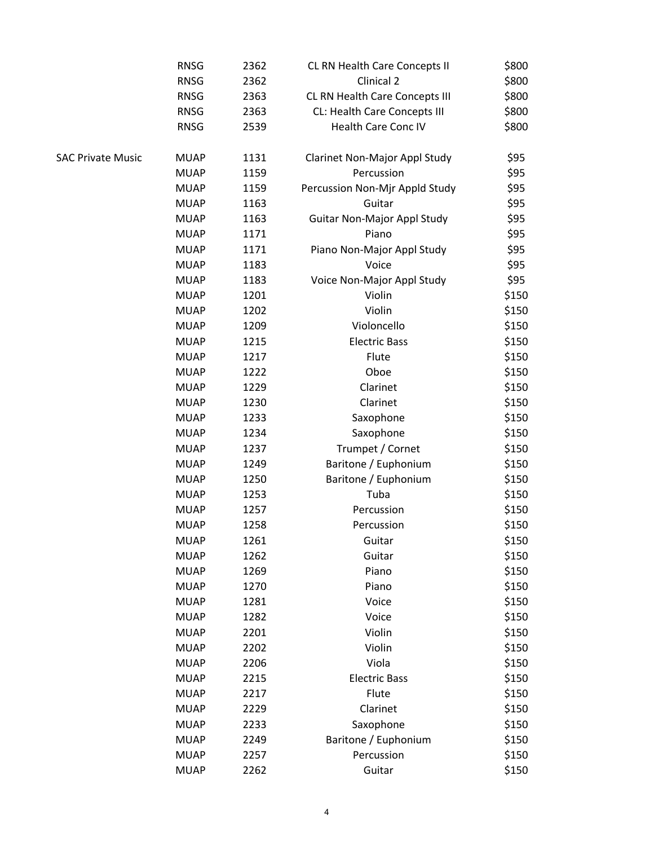|                   | <b>RNSG</b> | 2362 | CL RN Health Care Concepts II  | \$800 |
|-------------------|-------------|------|--------------------------------|-------|
|                   | <b>RNSG</b> | 2362 | Clinical 2                     | \$800 |
|                   | <b>RNSG</b> | 2363 | CL RN Health Care Concepts III | \$800 |
|                   | <b>RNSG</b> | 2363 | CL: Health Care Concepts III   | \$800 |
|                   | <b>RNSG</b> | 2539 | Health Care Conc IV            | \$800 |
| SAC Private Music | <b>MUAP</b> | 1131 | Clarinet Non-Major Appl Study  | \$95  |
|                   | <b>MUAP</b> | 1159 | Percussion                     | \$95  |
|                   | <b>MUAP</b> | 1159 | Percussion Non-Mjr Appld Study | \$95  |
|                   | <b>MUAP</b> | 1163 | Guitar                         | \$95  |
|                   | <b>MUAP</b> | 1163 | Guitar Non-Major Appl Study    | \$95  |
|                   | <b>MUAP</b> | 1171 | Piano                          | \$95  |
|                   | <b>MUAP</b> | 1171 | Piano Non-Major Appl Study     | \$95  |
|                   | <b>MUAP</b> | 1183 | Voice                          | \$95  |
|                   | <b>MUAP</b> | 1183 | Voice Non-Major Appl Study     | \$95  |
|                   | <b>MUAP</b> | 1201 | Violin                         | \$150 |
|                   | <b>MUAP</b> | 1202 | Violin                         | \$150 |
|                   | <b>MUAP</b> | 1209 | Violoncello                    | \$150 |
|                   | <b>MUAP</b> | 1215 | <b>Electric Bass</b>           | \$150 |
|                   | <b>MUAP</b> | 1217 | Flute                          | \$150 |
|                   | <b>MUAP</b> | 1222 | Oboe                           | \$150 |
|                   | <b>MUAP</b> | 1229 | Clarinet                       | \$150 |
|                   | <b>MUAP</b> | 1230 | Clarinet                       | \$150 |
|                   | <b>MUAP</b> | 1233 | Saxophone                      | \$150 |
|                   | <b>MUAP</b> | 1234 | Saxophone                      | \$150 |
|                   | <b>MUAP</b> | 1237 | Trumpet / Cornet               | \$150 |
|                   | <b>MUAP</b> | 1249 | Baritone / Euphonium           | \$150 |
|                   | <b>MUAP</b> | 1250 | Baritone / Euphonium           | \$150 |
|                   | <b>MUAP</b> | 1253 | Tuba                           | \$150 |
|                   | <b>MUAP</b> | 1257 | Percussion                     | \$150 |
|                   | <b>MUAP</b> | 1258 | Percussion                     | \$150 |
|                   | <b>MUAP</b> | 1261 | Guitar                         | \$150 |
|                   | <b>MUAP</b> | 1262 | Guitar                         | \$150 |
|                   | <b>MUAP</b> | 1269 | Piano                          | \$150 |
|                   | <b>MUAP</b> | 1270 | Piano                          | \$150 |
|                   | <b>MUAP</b> | 1281 | Voice                          | \$150 |
|                   | <b>MUAP</b> | 1282 | Voice                          | \$150 |
|                   | <b>MUAP</b> | 2201 | Violin                         | \$150 |
|                   | <b>MUAP</b> | 2202 | Violin                         | \$150 |
|                   | <b>MUAP</b> | 2206 | Viola                          | \$150 |
|                   | <b>MUAP</b> | 2215 | <b>Electric Bass</b>           | \$150 |
|                   | <b>MUAP</b> | 2217 | Flute                          | \$150 |
|                   | <b>MUAP</b> | 2229 | Clarinet                       | \$150 |
|                   | <b>MUAP</b> | 2233 | Saxophone                      | \$150 |
|                   | <b>MUAP</b> | 2249 | Baritone / Euphonium           | \$150 |
|                   | <b>MUAP</b> | 2257 | Percussion                     | \$150 |
|                   | <b>MUAP</b> | 2262 | Guitar                         | \$150 |
|                   |             |      |                                |       |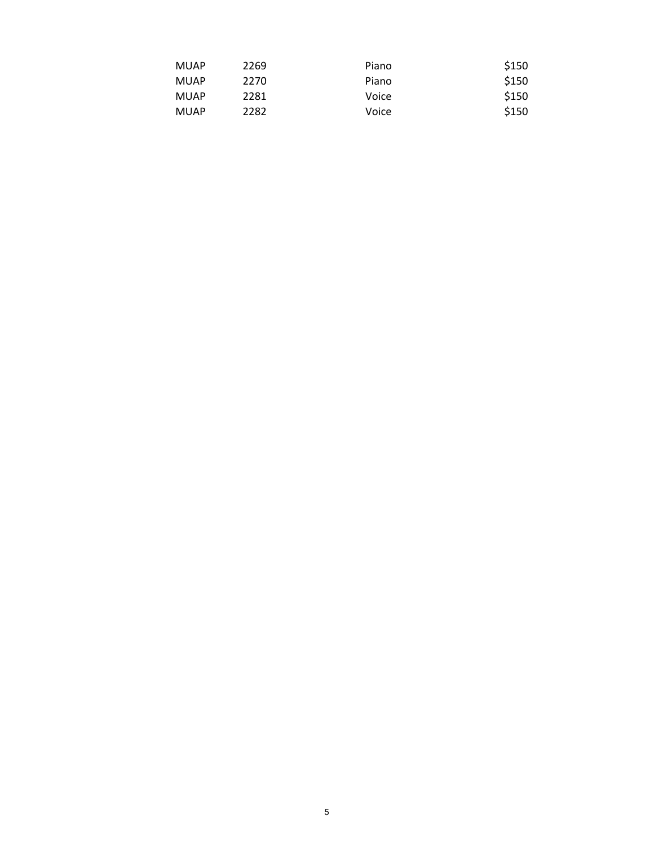| <b>MUAP</b> | 2269 | Piano | \$150 |
|-------------|------|-------|-------|
| <b>MUAP</b> | 2270 | Piano | \$150 |
| <b>MUAP</b> | 2281 | Voice | \$150 |
| <b>MUAP</b> | 2282 | Voice | \$150 |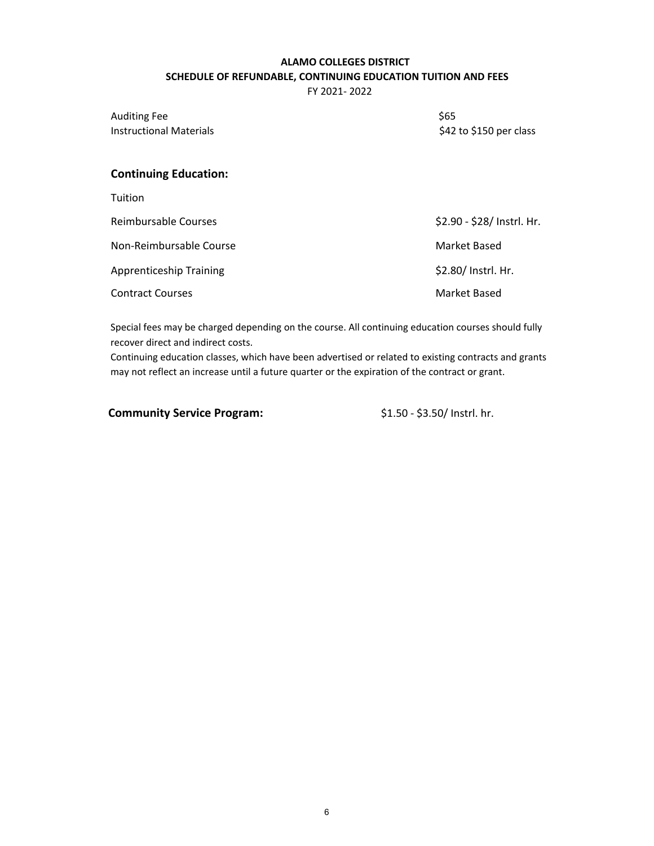# **ALAMO COLLEGES DISTRICT SCHEDULE OF REFUNDABLE, CONTINUING EDUCATION TUITION AND FEES**

FY 2021- 2022

Auditing Fee \$65 Instructional Materials

\$42 to \$150 per class

# **Continuing Education:**

| Tuition                        |                            |
|--------------------------------|----------------------------|
| Reimbursable Courses           | \$2.90 - \$28/ Instrl. Hr. |
| Non-Reimbursable Course        | Market Based               |
| <b>Apprenticeship Training</b> | \$2.80/ Instrl. Hr.        |
| <b>Contract Courses</b>        | Market Based               |

Special fees may be charged depending on the course. All continuing education courses should fully recover direct and indirect costs.

Continuing education classes, which have been advertised or related to existing contracts and grants may not reflect an increase until a future quarter or the expiration of the contract or grant.

**Community Service Program:**  $$1.50 - $3.50/$  Instrl. hr.